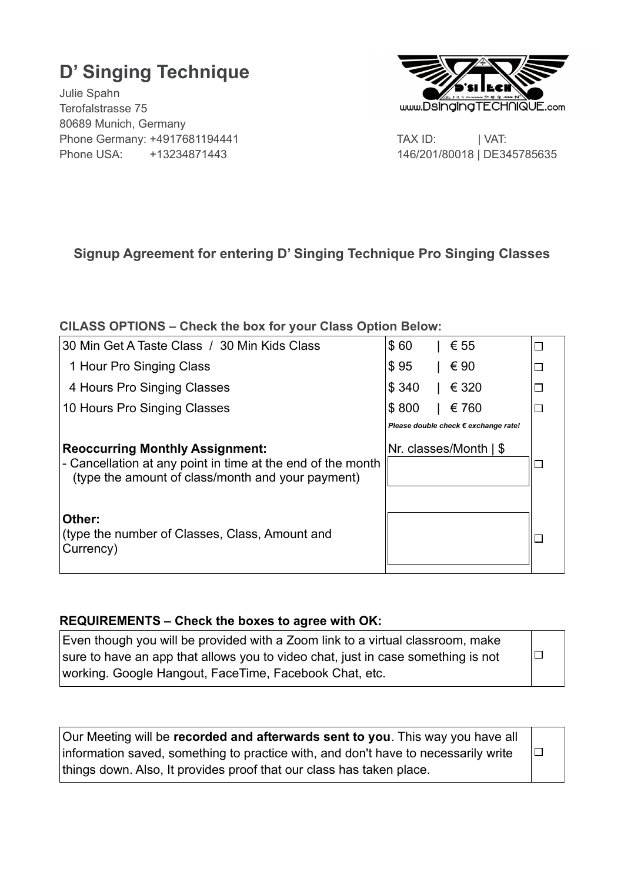# **D' Singing Technique**

Julie Spahn Terofalstrasse 75 80689 Munich, Germany Phone Germany: +4917681194441 TAX ID: | VAT: Phone USA: +13234871443146/201/80018 | DE345785635



# **Signup Agreement for entering D' Singing Technique Pro Singing Classes**

# **ClLASS OPTIONS – Check the box for your Class Option Below:**

| 30 Min Get A Taste Class / 30 Min Kids Class                                                                                                               | \$60  | € 55                                 |  |
|------------------------------------------------------------------------------------------------------------------------------------------------------------|-------|--------------------------------------|--|
| 1 Hour Pro Singing Class                                                                                                                                   | \$95  | € 90                                 |  |
| 4 Hours Pro Singing Classes                                                                                                                                | \$340 | € 320                                |  |
| 10 Hours Pro Singing Classes                                                                                                                               | \$800 | € 760                                |  |
|                                                                                                                                                            |       | Please double check € exchange rate! |  |
| <b>Reoccurring Monthly Assignment:</b><br>- Cancellation at any point in time at the end of the month<br>(type the amount of class/month and your payment) |       | Nr. classes/Month $\frac{1}{5}$      |  |
| Other:<br>(type the number of Classes, Class, Amount and<br>Currency)                                                                                      |       |                                      |  |

## **REQUIREMENTS – Check the boxes to agree with OK:**

| Even though you will be provided with a Zoom link to a virtual classroom, make   |        |
|----------------------------------------------------------------------------------|--------|
| sure to have an app that allows you to video chat, just in case something is not | $\Box$ |
| working. Google Hangout, FaceTime, Facebook Chat, etc.                           |        |

| Our Meeting will be recorded and afterwards sent to you. This way you have all     |        |  |
|------------------------------------------------------------------------------------|--------|--|
| information saved, something to practice with, and don't have to necessarily write | $\Box$ |  |
| things down. Also, It provides proof that our class has taken place.               |        |  |